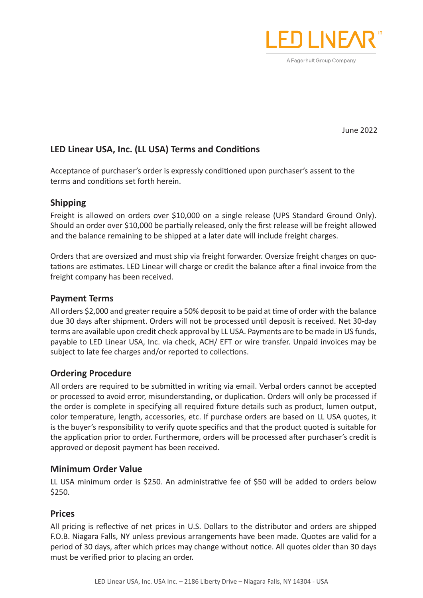

June 2022

# **LED Linear USA, Inc. (LL USA) Terms and Conditions**

Acceptance of purchaser's order is expressly conditioned upon purchaser's assent to the terms and conditions set forth herein.

# **Shipping**

Freight is allowed on orders over \$10,000 on a single release (UPS Standard Ground Only). Should an order over \$10,000 be partially released, only the first release will be freight allowed and the balance remaining to be shipped at a later date will include freight charges.

Orders that are oversized and must ship via freight forwarder. Oversize freight charges on quotations are estimates. LED Linear will charge or credit the balance after a final invoice from the freight company has been received.

## **Payment Terms**

All orders \$2,000 and greater require a 50% deposit to be paid at time of order with the balance due 30 days after shipment. Orders will not be processed until deposit is received. Net 30-day terms are available upon credit check approval by LL USA. Payments are to be made in US funds, payable to LED Linear USA, Inc. via check, ACH/ EFT or wire transfer. Unpaid invoices may be subject to late fee charges and/or reported to collections.

# **Ordering Procedure**

All orders are required to be submitted in writing via email. Verbal orders cannot be accepted or processed to avoid error, misunderstanding, or duplication. Orders will only be processed if the order is complete in specifying all required fixture details such as product, lumen output, color temperature, length, accessories, etc. If purchase orders are based on LL USA quotes, it is the buyer's responsibility to verify quote specifics and that the product quoted is suitable for the application prior to order. Furthermore, orders will be processed after purchaser's credit is approved or deposit payment has been received.

## **Minimum Order Value**

LL USA minimum order is \$250. An administrative fee of \$50 will be added to orders below \$250.

## **Prices**

All pricing is reflective of net prices in U.S. Dollars to the distributor and orders are shipped F.O.B. Niagara Falls, NY unless previous arrangements have been made. Quotes are valid for a period of 30 days, after which prices may change without notice. All quotes older than 30 days must be verified prior to placing an order.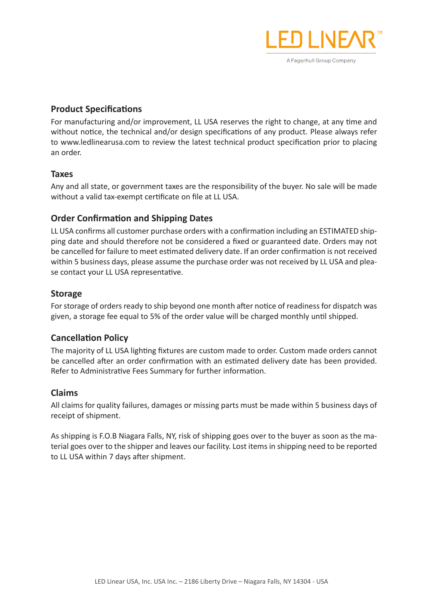

## **Product Specifications**

For manufacturing and/or improvement, LL USA reserves the right to change, at any time and without notice, the technical and/or design specifications of any product. Please always refer to www.ledlinearusa.com to review the latest technical product specification prior to placing an order.

## **Taxes**

Any and all state, or government taxes are the responsibility of the buyer. No sale will be made without a valid tax-exempt certificate on file at LL USA.

## **Order Confirmation and Shipping Dates**

LL USA confirms all customer purchase orders with a confirmation including an ESTIMATED shipping date and should therefore not be considered a fixed or guaranteed date. Orders may not be cancelled for failure to meet estimated delivery date. If an order confirmation is not received within 5 business days, please assume the purchase order was not received by LL USA and please contact your LL USA representative.

## **Storage**

For storage of orders ready to ship beyond one month after notice of readiness for dispatch was given, a storage fee equal to 5% of the order value will be charged monthly until shipped.

## **Cancellation Policy**

The majority of LL USA lighting fixtures are custom made to order. Custom made orders cannot be cancelled after an order confirmation with an estimated delivery date has been provided. Refer to Administrative Fees Summary for further information.

## **Claims**

All claims for quality failures, damages or missing parts must be made within 5 business days of receipt of shipment.

As shipping is F.O.B Niagara Falls, NY, risk of shipping goes over to the buyer as soon as the material goes over to the shipper and leaves our facility. Lost items in shipping need to be reported to LL USA within 7 days after shipment.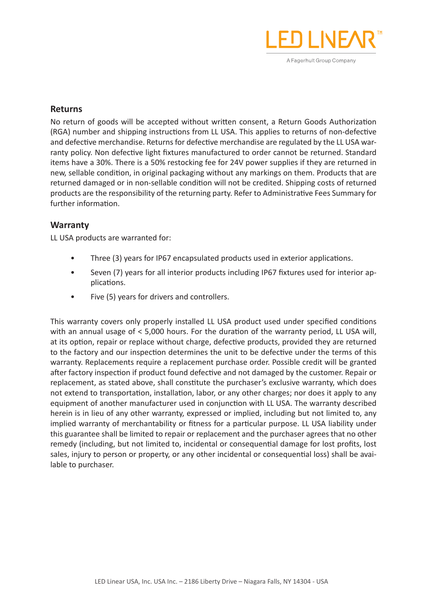

#### **Returns**

No return of goods will be accepted without written consent, a Return Goods Authorization (RGA) number and shipping instructions from LL USA. This applies to returns of non-defective and defective merchandise. Returns for defective merchandise are regulated by the LL USA warranty policy. Non defective light fixtures manufactured to order cannot be returned. Standard items have a 30%. There is a 50% restocking fee for 24V power supplies if they are returned in new, sellable condition, in original packaging without any markings on them. Products that are returned damaged or in non-sellable condition will not be credited. Shipping costs of returned products are the responsibility of the returning party. Refer to Administrative Fees Summary for further information.

## **Warranty**

LL USA products are warranted for:

- Three (3) years for IP67 encapsulated products used in exterior applications.
- Seven (7) years for all interior products including IP67 fixtures used for interior applications.
- Five (5) years for drivers and controllers.

This warranty covers only properly installed LL USA product used under specified conditions with an annual usage of < 5,000 hours. For the duration of the warranty period, LL USA will, at its option, repair or replace without charge, defective products, provided they are returned to the factory and our inspection determines the unit to be defective under the terms of this warranty. Replacements require a replacement purchase order. Possible credit will be granted after factory inspection if product found defective and not damaged by the customer. Repair or replacement, as stated above, shall constitute the purchaser's exclusive warranty, which does not extend to transportation, installation, labor, or any other charges; nor does it apply to any equipment of another manufacturer used in conjunction with LL USA. The warranty described herein is in lieu of any other warranty, expressed or implied, including but not limited to, any implied warranty of merchantability or fitness for a particular purpose. LL USA liability under this guarantee shall be limited to repair or replacement and the purchaser agrees that no other remedy (including, but not limited to, incidental or consequential damage for lost profits, lost sales, injury to person or property, or any other incidental or consequential loss) shall be available to purchaser.